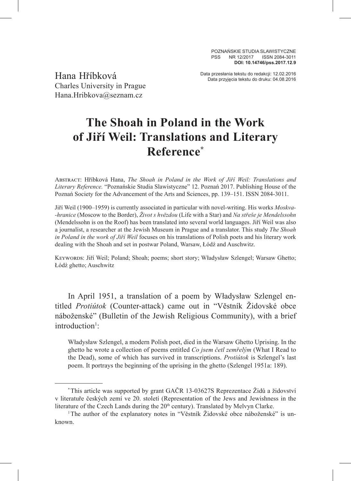POZNAŃSKIE STUDIA SLAWISTYCZNE PSS NR 12/2017 ISSN 2084-3011 **DOI: 10.14746/pss.2017.12.9**

Charles University in Prague Hana.Hribkova@seznam.cz

Data przesłania tekstu do redakcji: 12.02.2016<br>Data przyjęcia tekstu do druku: 04.08.2016

## **The Shoah in Poland in the Work of Jiří Weil: Translations and Literary Reference\***

Abstract: Hříbková Hana, *The Shoah in Poland in the Work of Jiří Weil: Translations and Literary Reference.* "Poznańskie Studia Slawistyczne" 12. Poznań 2017. Publishing House of the Poznań Society for the Advancement of the Arts and Sciences, pp. 139–151. ISSN 2084-3011.

Jiří Weil (1900–1959) is currently associated in particular with novel-writing. His works *Moskva- -hranice* (Moscow to the Border), *Život s hvězdou* (Life with a Star) and *Na střeše je Mendelssohn* (Mendelssohn is on the Roof) has been translated into several world languages. Jiří Weil was also a journalist, a researcher at the Jewish Museum in Prague and a translator. This study *The Shoah in Poland in the work of Jiří Weil* focuses on his translations of Polish poets and his literary work dealing with the Shoah and set in postwar Poland, Warsaw, Łódź and Auschwitz.

Keywords: Jiří Weil; Poland; Shoah; poems; short story; Władysław Szlengel; Warsaw Ghetto; Łódź ghetto; Auschwitz

In April 1951, a translation of a poem by Władysław Szlengel entitled *Protiútok* (Counter-attack) came out in "Věstník Židovské obce náboženské" (Bulletin of the Jewish Religious Community), with a brief introduction<sup>1</sup>:

Władysław Szlengel, a modern Polish poet, died in the Warsaw Ghetto Uprising. In the ghetto he wrote a collection of poems entitled *Co jsem četl zemřelým* (What I Read to the Dead), some of which has survived in transcriptions. *Protiútok* is Szlengel's last poem. It portrays the beginning of the uprising in the ghetto (Szlengel 1951a: 189).

<sup>\*</sup>This article was supported by grant GAČR 13-03627S Reprezentace Židů a židovství v literatuře českých zemí ve 20. století (Representation of the Jews and Jewishness in the literature of the Czech Lands during the 20<sup>th</sup> century). Translated by Melvyn Clarke.

<sup>1</sup>The author of the explanatory notes in "Věstník Židovské obce náboženské" is unknown.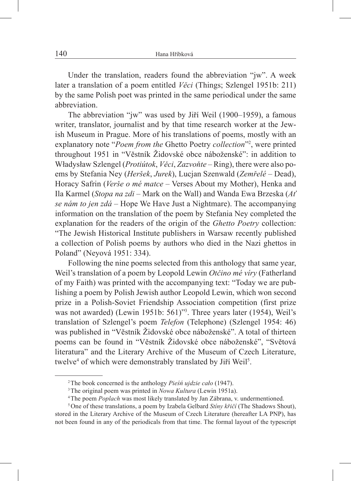Under the translation, readers found the abbreviation "jw". A week later a translation of a poem entitled *Věci* (Things; Szlengel 1951b: 211) by the same Polish poet was printed in the same periodical under the same abbreviation.

The abbreviation "jw" was used by Jiří Weil (1900–1959), a famous writer, translator, journalist and by that time research worker at the Jewish Museum in Prague. More of his translations of poems, mostly with an explanatory note "*Poem from the* Ghetto Poetry *collection*"2 , were printed throughout 1951 in "Věstník Židovské obce náboženské": in addition to Władysław Szlengel (*Protiútok*, *Věci*, *Zazvoňte* – Ring), there were also poems by Stefania Ney (*Heršek*, *Jurek*), Lucjan Szenwald (*Zemřelé* – Dead), Horacy Safrin (*Verše o mé matce* – Verses About my Mother), Henka and Ila Karmel (*Stopa na zdi* – Mark on the Wall) and Wanda Ewa Brzeska (*Ať se nám to jen zdá* – Hope We Have Just a Nightmare). The accompanying information on the translation of the poem by Stefania Ney completed the explanation for the readers of the origin of the *Ghetto Poetry* collection: "The Jewish Historical Institute publishers in Warsaw recently published a collection of Polish poems by authors who died in the Nazi ghettos in Poland" (Neyová 1951: 334).

Following the nine poems selected from this anthology that same year, Weil's translation of a poem by Leopold Lewin *Otčino mé víry* (Fatherland of my Faith) was printed with the accompanying text: "Today we are publishing a poem by Polish Jewish author Leopold Lewin, which won second prize in a Polish-Soviet Friendship Association competition (first prize was not awarded) (Lewin 1951b: 561)"3 . Three years later (1954), Weil's translation of Szlengel's poem *Telefon* (Telephone) (Szlengel 1954: 46) was published in "Věstník Židovské obce náboženské". A total of thirteen poems can be found in "Věstník Židovské obce náboženské", "Světová literatura" and the Literary Archive of the Museum of Czech Literature, twelve<sup>4</sup> of which were demonstrably translated by Jiří Weil<sup>5</sup>.

<sup>2</sup>The book concerned is the anthology *Pieśń ujdzie cało* (1947).

<sup>&</sup>lt;sup>4</sup>The poem *Poplach* was most likely translated by Jan Zábrana, v. undermentioned.

<sup>5</sup>One of these translations, a poem by Izabela Gelbard *Stíny křičí* (The Shadows Shout), stored in the Literary Archive of the Museum of Czech Literature (hereafter LA PNP), has not been found in any of the periodicals from that time. The formal layout of the typescript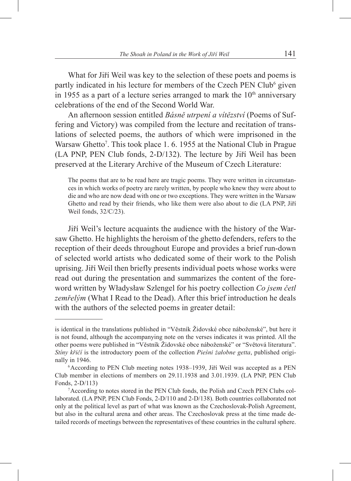What for Jiří Weil was key to the selection of these poets and poems is partly indicated in his lecture for members of the Czech PEN Club<sup>6</sup> given in 1955 as a part of a lecture series arranged to mark the  $10<sup>th</sup>$  anniversary celebrations of the end of the Second World War.

An afternoon session entitled *Básně utrpení a vítězství* (Poems of Suffering and Victory) was compiled from the lecture and recitation of translations of selected poems, the authors of which were imprisoned in the Warsaw Ghetto<sup>7</sup>. This took place 1. 6. 1955 at the National Club in Prague (LA PNP, PEN Club fonds, 2-D/132). The lecture by Jiří Weil has been preserved at the Literary Archive of the Museum of Czech Literature:

The poems that are to be read here are tragic poems. They were written in circumstances in which works of poetry are rarely written, by people who knew they were about to die and who are now dead with one or two exceptions. They were written in the Warsaw Ghetto and read by their friends, who like them were also about to die (LA PNP, Jiří Weil fonds, 32/C/23).

Jiří Weil's lecture acquaints the audience with the history of the Warsaw Ghetto. He highlights the heroism of the ghetto defenders, refers to the reception of their deeds throughout Europe and provides a brief run-down of selected world artists who dedicated some of their work to the Polish uprising. Jiří Weil then briefly presents individual poets whose works were read out during the presentation and summarizes the content of the foreword written by Władysław Szlengel for his poetry collection *Co jsem četl zemřelým* (What I Read to the Dead). After this brief introduction he deals with the authors of the selected poems in greater detail:

is identical in the translations published in "Věstník Židovské obce náboženské", but here it is not found, although the accompanying note on the verses indicates it was printed. All the other poems were published in "Věstník Židovské obce náboženské" or "Světová literatura". *Stíny křičí* is the introductory poem of the collection *Pieśni żałobne getta*, published originally in 1946.

 $6$ According to PEN Club meeting notes 1938–1939, Jiří Weil was accepted as a PEN Club member in elections of members on 29.11.1938 and 3.01.1939. (LA PNP, PEN Club Fonds, 2-D/113)

<sup>7</sup>According to notes stored in the PEN Club fonds, the Polish and Czech PEN Clubs collaborated. (LA PNP, PEN Club Fonds, 2-D/110 and 2-D/138). Both countries collaborated not only at the political level as part of what was known as the Czechoslovak-Polish Agreement, but also in the cultural arena and other areas. The Czechoslovak press at the time made detailed records of meetings between the representatives of these countries in the cultural sphere.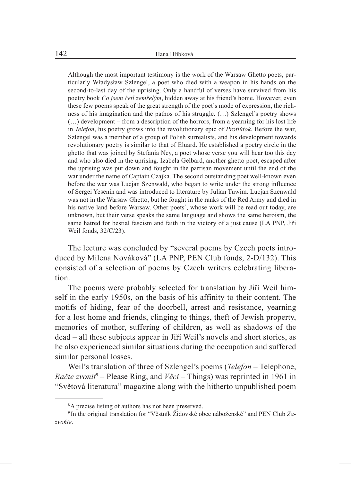Although the most important testimony is the work of the Warsaw Ghetto poets, particularly Władysław Szlengel, a poet who died with a weapon in his hands on the second-to-last day of the uprising. Only a handful of verses have survived from his poetry book *Co jsem četl zemřelým*, hidden away at his friend's home. However, even these few poems speak of the great strength of the poet's mode of expression, the richness of his imagination and the pathos of his struggle. (…) Szlengel's poetry shows (…) development – from a description of the horrors, from a yearning for his lost life in *Telefon*, his poetry grows into the revolutionary epic of *Protiútok*. Before the war, Szlengel was a member of a group of Polish surrealists, and his development towards revolutionary poetry is similar to that of Éluard. He established a poetry circle in the ghetto that was joined by Stefania Ney, a poet whose verse you will hear too this day and who also died in the uprising. Izabela Gelbard, another ghetto poet, escaped after the uprising was put down and fought in the partisan movement until the end of the war under the name of Captain Czajka. The second outstanding poet well-known even before the war was Lucjan Szenwald, who began to write under the strong influence of Sergei Yesenin and was introduced to literature by Julian Tuwim. Lucjan Szenwald was not in the Warsaw Ghetto, but he fought in the ranks of the Red Army and died in his native land before Warsaw. Other poets<sup>8</sup>, whose work will be read out today, are unknown, but their verse speaks the same language and shows the same heroism, the same hatred for bestial fascism and faith in the victory of a just cause (LA PNP, Jiří Weil fonds, 32/C/23).

The lecture was concluded by "several poems by Czech poets introduced by Milena Nováková" (LA PNP, PEN Club fonds, 2-D/132). This consisted of a selection of poems by Czech writers celebrating liberation.

The poems were probably selected for translation by Jiří Weil himself in the early 1950s, on the basis of his affinity to their content. The motifs of hiding, fear of the doorbell, arrest and resistance, yearning for a lost home and friends, clinging to things, theft of Jewish property, memories of mother, suffering of children, as well as shadows of the dead – all these subjects appear in Jiří Weil's novels and short stories, as he also experienced similar situations during the occupation and suffered similar personal losses.

Weil's translation of three of Szlengel's poems (*Telefon –* Telephone, *Račte zvonit*<sup>9</sup> – Please Ring, and *Věci* – Things) was reprinted in 1961 in "Světová literatura" magazine along with the hitherto unpublished poem

<sup>8</sup>A precise listing of authors has not been preserved.

<sup>9</sup> In the original translation for "Věstník Židovské obce náboženské" and PEN Club *Zazvoňte*.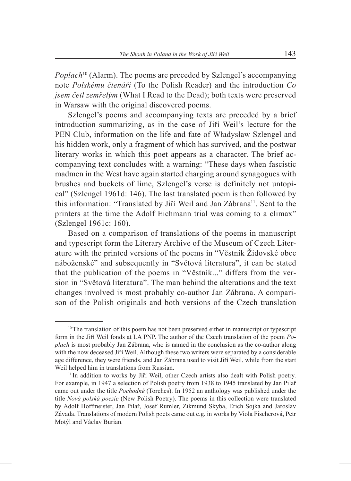*Poplach*<sup>10</sup> (Alarm). The poems are preceded by Szlengel's accompanying note *Polskému čtenáři* (To the Polish Reader) and the introduction *Co jsem četl zemřelým* (What I Read to the Dead); both texts were preserved in Warsaw with the original discovered poems.

Szlengel's poems and accompanying texts are preceded by a brief introduction summarizing, as in the case of Jiří Weil's lecture for the PEN Club, information on the life and fate of Władysław Szlengel and his hidden work, only a fragment of which has survived, and the postwar literary works in which this poet appears as a character. The brief accompanying text concludes with a warning: "These days when fascistic madmen in the West have again started charging around synagogues with brushes and buckets of lime, Szlengel's verse is definitely not untopical" (Szlengel 1961d: 146). The last translated poem is then followed by this information: "Translated by Jiří Weil and Jan Zábrana<sup>11</sup>. Sent to the printers at the time the Adolf Eichmann trial was coming to a climax" (Szlengel 1961c: 160).

Based on a comparison of translations of the poems in manuscript and typescript form the Literary Archive of the Museum of Czech Literature with the printed versions of the poems in "Věstník Židovské obce náboženské" and subsequently in "Světová literatura", it can be stated that the publication of the poems in "Věstník..." differs from the version in "Světová literatura". The man behind the alterations and the text changes involved is most probably co-author Jan Zábrana. A comparison of the Polish originals and both versions of the Czech translation

<sup>&</sup>lt;sup>10</sup>The translation of this poem has not been preserved either in manuscript or typescript form in the Jiří Weil fonds at LA PNP. The author of the Czech translation of the poem *Poplach* is most probably Jan Zábrana, who is named in the conclusion as the co-author along with the now deceased Jiří Weil. Although these two writers were separated by a considerable age difference, they were friends, and Jan Zábrana used to visit Jiří Weil, while from the start Weil helped him in translations from Russian.

<sup>&</sup>lt;sup>11</sup> In addition to works by Jiří Weil, other Czech artists also dealt with Polish poetry. For example, in 1947 a selection of Polish poetry from 1938 to 1945 translated by Jan Pilař came out under the title *Pochodně* (Torches). In 1952 an anthology was published under the title *Nová polská poezie* (New Polish Poetry). The poems in this collection were translated by Adolf Hoffmeister, Jan Pilař, Josef Rumler, Zikmund Skyba, Erich Sojka and Jaroslav Závada. Translations of modern Polish poets came out e.g. in works by Viola Fischerová, Petr Motýl and Václav Burian.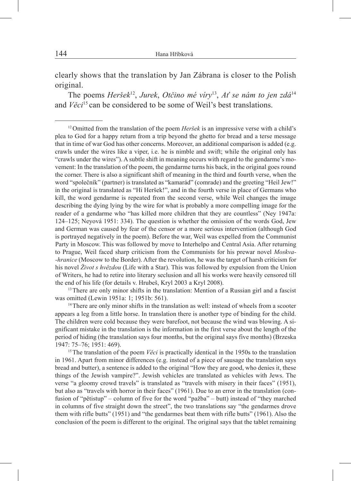clearly shows that the translation by Jan Zábrana is closer to the Polish original.

The poems *Heršek*12, *Jurek*, *Otčino mé víry*13, *Ať se nám to jen zdá*<sup>14</sup> and *Věci*<sup>15</sup> can be considered to be some of Weil's best translations.

<sup>12</sup> Omitted from the translation of the poem *Heršek* is an impressive verse with a child's plea to God for a happy return from a trip beyond the ghetto for bread and a terse message that in time of war God has other concerns. Moreover, an additional comparison is added (e.g. crawls under the wires like a viper, i.e. he is nimble and swift; while the original only has "crawls under the wires"). A subtle shift in meaning occurs with regard to the gendarme's movement: In the translation of the poem, the gendarme turns his back, in the original goes round the corner. There is also a significant shift of meaning in the third and fourth verse, when the word "společník" (partner) is translated as "kamarád" (comrade) and the greeting "Heil Jew!" in the original is translated as "Hi Heršek!", and in the fourth verse in place of Germans who kill, the word gendarme is repeated from the second verse, while Weil changes the image describing the dying lying by the wire for what is probably a more compelling image for the reader of a gendarme who "has killed more children that they are countless" (Ney 1947a: 124–125; Neyová 1951: 334). The question is whether the omission of the words God, Jew and German was caused by fear of the censor or a more serious intervention (although God is portrayed negatively in the poem). Before the war, Weil was expelled from the Communist Party in Moscow. This was followed by move to Interhelpo and Central Asia. After returning to Prague, Weil faced sharp criticism from the Communists for his prewar novel *Moskva- -hranice* (Moscow to the Border). After the revolution, he was the target of harsh criticism for his novel *Život s hvězdou* (Life with a Star). This was followed by expulsion from the Union of Writers, he had to retire into literary seclusion and all his works were heavily censored till the end of his life (for details v. Hrubeš, Kryl 2003 a Kryl 2008).

<sup>13</sup>There are only minor shifts in the translation: Mention of a Russian girl and a fascist was omitted (Lewin 1951a: 1; 1951b: 561).

<sup>14</sup>There are only minor shifts in the translation as well: instead of wheels from a scooter appears a leg from a little horse. In translation there is another type of binding for the child. The children were cold because they were barefoot, not because the wind was blowing. A significant mistake in the translation is the information in the first verse about the length of the period of hiding (the translation says four months, but the original says five months) (Brzeska 1947: 75–76; 1951: 469).

<sup>15</sup>The translation of the poem *Věci* is practically identical in the 1950s to the translation in 1961. Apart from minor differences (e.g. instead of a piece of sausage the translation says bread and butter), a sentence is added to the original "How they are good, who denies it, these things of the Jewish vampire?". Jewish vehicles are translated as vehicles with Jews. The verse "a gloomy crowd travels" is translated as "travels with misery in their faces" (1951), but also as "travels with horror in their faces" (1961). Due to an error in the translation (confusion of "pětistup" – column of five for the word "pažba" – butt) instead of "they marched in columns of five straight down the street", the two translations say "the gendarmes drove them with rifle butts" (1951) and "the gendarmes beat them with rifle butts" (1961). Also the conclusion of the poem is different to the original. The original says that the tablet remaining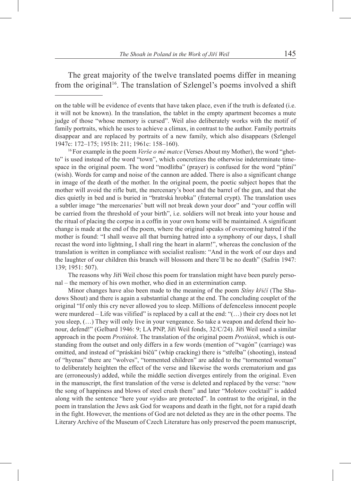The great majority of the twelve translated poems differ in meaning from the original<sup>16</sup>. The translation of Szlengel's poems involved a shift

on the table will be evidence of events that have taken place, even if the truth is defeated (i.e. it will not be known). In the translation, the tablet in the empty apartment becomes a mute judge of those "whose memory is cursed". Weil also deliberately works with the motif of family portraits, which he uses to achieve a climax, in contrast to the author. Family portraits disappear and are replaced by portraits of a new family, which also disappears (Szlengel 1947c: 172–175; 1951b: 211; 1961c: 158–160). 16For example in the poem *Verše o mé matce* (Verses About my Mother), the word "ghet-

to" is used instead of the word "town", which concretizes the otherwise indeterminate timespace in the original poem. The word "modlitba" (prayer) is confused for the word "přání" (wish). Words for camp and noise of the cannon are added. There is also a significant change in image of the death of the mother. In the original poem, the poetic subject hopes that the mother will avoid the rifle butt, the mercenary's boot and the barrel of the gun, and that she dies quietly in bed and is buried in "bratrská hrobka" (fraternal crypt). The translation uses a subtler image "the mercenaries' butt will not break down your door" and "your coffin will be carried from the threshold of your birth", i.e. soldiers will not break into your house and the ritual of placing the corpse in a coffin in your own home will be maintained. A significant change is made at the end of the poem, where the original speaks of overcoming hatred if the mother is found: "I shall weave all that burning hatred into a symphony of our days, I shall recast the word into lightning, I shall ring the heart in alarm!", whereas the conclusion of the translation is written in compliance with socialist realism: "And in the work of our days and the laughter of our children this branch will blossom and there'll be no death" (Safrin 1947: 139; 1951: 507).

The reasons why Jiří Weil chose this poem for translation might have been purely personal – the memory of his own mother, who died in an extermination camp.

Minor changes have also been made to the meaning of the poem *Stíny křičí* (The Shadows Shout) and there is again a substantial change at the end. The concluding couplet of the original "If only this cry never allowed you to sleep. Millions of defenceless innocent people were murdered  $-$  Life was vilified" is replaced by a call at the end: " $(...)$  their cry does not let you sleep, (…) They will only live in your vengeance. So take a weapon and defend their honour, defend!" (Gelbard 1946: 9; LA PNP, Jiří Weil fonds, 32/C/24). Jiří Weil used a similar approach in the poem *Protiútok*. The translation of the original poem *Protiútok*, which is outstanding from the outset and only differs in a few words (mention of "vagón" (carriage) was omitted, and instead of "práskání bičů" (whip cracking) there is "střelba" (shooting), instead of "hyenas" there are "wolves", "tormented children" are added to the "tormented woman" to deliberately heighten the effect of the verse and likewise the words crematorium and gas are (erroneously) added, while the middle section diverges entirely from the original. Even in the manuscript, the first translation of the verse is deleted and replaced by the verse: "now the song of happiness and blows of steel crush them" and later "Molotov cocktail" is added along with the sentence "here your «yids» are protected". In contrast to the original, in the poem in translation the Jews ask God for weapons and death in the fight, not for a rapid death in the fight. However, the mentions of God are not deleted as they are in the other poems. The Literary Archive of the Museum of Czech Literature has only preserved the poem manuscript,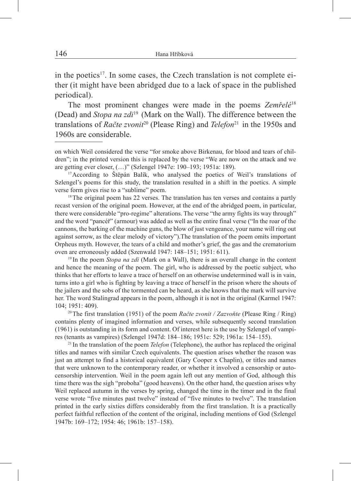in the poetics<sup>17</sup>. In some cases, the Czech translation is not complete either (it might have been abridged due to a lack of space in the published periodical).

The most prominent changes were made in the poems *Zemřelé*<sup>18</sup> (Dead) and *Stopa na zdi*<sup>19</sup> (Mark on the Wall). The difference between the translations of *Račte zvonit<sup>20</sup>* (Please Ring) and *Telefon*<sup>21</sup> in the 1950s and 1960s are considerable.

17According to Štěpán Balík, who analysed the poetics of Weil's translations of Szlengel's poems for this study, the translation resulted in a shift in the poetics. A simple verse form gives rise to a "sublime" poem.

 $18$ The original poem has 22 verses. The translation has ten verses and contains a partly recast version of the original poem. However, at the end of the abridged poem, in particular, there were considerable "pro-regime" alterations. The verse "the army fights its way through" and the word "pancéř" (armour) was added as well as the entire final verse ("In the roar of the cannons, the barking of the machine guns, the blow of just vengeance, your name will ring out against sorrow, as the clear melody of victory").The translation of the poem omits important Orpheus myth. However, the tears of a child and mother's grief, the gas and the crematorium oven are erroneously added (Szenwald 1947: 148–151; 1951: 611).

<sup>19</sup> In the poem *Stopa na zdi* (Mark on a Wall), there is an overall change in the content and hence the meaning of the poem. The girl, who is addressed by the poetic subject, who thinks that her efforts to leave a trace of herself on an otherwise undetermined wall is in vain, turns into a girl who is fighting by leaving a trace of herself in the prison where the shouts of the jailers and the sobs of the tormented can be heard, as she knows that the mark will survive her. The word Stalingrad appears in the poem, although it is not in the original (Karmel 1947: 104; 1951: 409).

20The first translation (1951) of the poem *Račte zvonit / Zazvoňte* (Please Ring / Ring) contains plenty of imagined information and verses, while subsequently second translation (1961) is outstanding in its form and content. Of interest here is the use by Szlengel of vampires (tenants as vampires) (Szlengel 1947d: 184–186; 1951c: 529; 1961a: 154–155). 21 In the translation of the poem *Telefon* (Telephone), the author has replaced the original

titles and names with similar Czech equivalents. The question arises whether the reason was just an attempt to find a historical equivalent (Gary Cooper x Chaplin), or titles and names that were unknown to the contemporary reader, or whether it involved a censorship or autocensorship intervention. Weil in the poem again left out any mention of God, although this time there was the sigh "proboha" (good heavens). On the other hand, the question arises why Weil replaced autumn in the verses by spring, changed the time in the timer and in the final verse wrote "five minutes past twelve" instead of "five minutes to twelve". The translation printed in the early sixties differs considerably from the first translation. It is a practically perfect faithful reflection of the content of the original, including mentions of God (Szlengel 1947b: 169–172; 1954: 46; 1961b: 157–158).

on which Weil considered the verse "for smoke above Birkenau, for blood and tears of children"; in the printed version this is replaced by the verse "We are now on the attack and we are getting ever closer, (…)" (Szlengel 1947e: 190–193; 1951a: 189).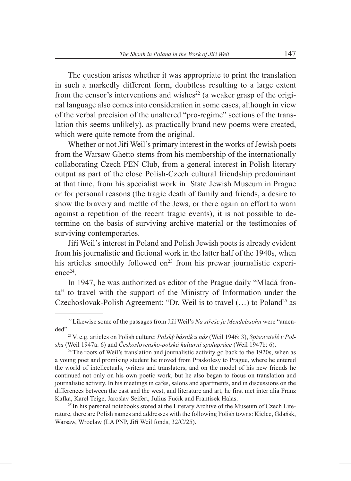The question arises whether it was appropriate to print the translation in such a markedly different form, doubtless resulting to a large extent from the censor's interventions and wishes<sup>22</sup> (a weaker grasp of the original language also comes into consideration in some cases, although in view of the verbal precision of the unaltered "pro-regime" sections of the translation this seems unlikely), as practically brand new poems were created, which were quite remote from the original.

Whether or not Jiří Weil's primary interest in the works of Jewish poets from the Warsaw Ghetto stems from his membership of the internationally collaborating Czech PEN Club, from a general interest in Polish literary output as part of the close Polish-Czech cultural friendship predominant at that time, from his specialist work in State Jewish Museum in Prague or for personal reasons (the tragic death of family and friends, a desire to show the bravery and mettle of the Jews, or there again an effort to warn against a repetition of the recent tragic events), it is not possible to determine on the basis of surviving archive material or the testimonies of surviving contemporaries.

Jiří Weil's interest in Poland and Polish Jewish poets is already evident from his journalistic and fictional work in the latter half of the 1940s, when his articles smoothly followed on<sup>23</sup> from his prewar journalistic experience24.

In 1947, he was authorized as editor of the Prague daily "Mladá fronta" to travel with the support of the Ministry of Information under the Czechoslovak-Polish Agreement: "Dr. Weil is to travel  $(...)$  to Poland<sup>25</sup> as

<sup>25</sup> In his personal notebooks stored at the Literary Archive of the Museum of Czech Literature, there are Polish names and addresses with the following Polish towns: Kielce, Gdańsk, Warsaw, Wroclaw (LA PNP, Jiří Weil fonds, 32/C/25).

<sup>22</sup>Likewise some of the passages from Jiří Weil's *Na střeše je Mendelssohn* were "amended".23V. e.g. articles on Polish culture: *Polský básník u nás* (Weil 1946: 3), *Spisovatelé v Pol-*

*sku* (Weil 1947a: 6) and *Československo-polská kulturní spolupráce* (Weil 1947b: 6).

<sup>&</sup>lt;sup>24</sup>The roots of Weil's translation and journalistic activity go back to the 1920s, when as a young poet and promising student he moved from Praskolesy to Prague, where he entered the world of intellectuals, writers and translators, and on the model of his new friends he continued not only on his own poetic work, but he also began to focus on translation and journalistic activity. In his meetings in cafes, salons and apartments, and in discussions on the differences between the east and the west, and literature and art, he first met inter alia Franz Kafka, Karel Teige, Jaroslav Seifert, Julius Fučík and František Halas.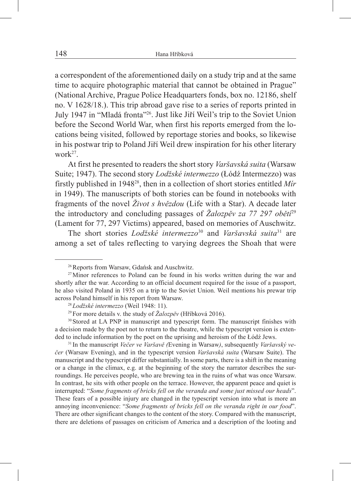a correspondent of the aforementioned daily on a study trip and at the same time to acquire photographic material that cannot be obtained in Prague" (National Archive, Prague Police Headquarters fonds, box no. 12186, shelf no. V 1628/18.). This trip abroad gave rise to a series of reports printed in July 1947 in "Mladá fronta"26. Just like Jiří Weil's trip to the Soviet Union before the Second World War, when first his reports emerged from the locations being visited, followed by reportage stories and books, so likewise in his postwar trip to Poland Jiří Weil drew inspiration for his other literary work $27$ .

At first he presented to readers the short story *Varšavská suita* (Warsaw Suite; 1947). The second story *Lodžské intermezzo* (Łódź Intermezzo) was firstly published in 194828, then in a collection of short stories entitled *Mír* in 1949). The manuscripts of both stories can be found in notebooks with fragments of the novel *Život s hvězdou* (Life with a Star). A decade later the introductory and concluding passages of *Žalozpěv za 77 297 obětí*<sup>29</sup> (Lament for 77, 297 Victims) appeared, based on memories of Auschwitz.

The short stories *Lodžské intermezzo*<sup>30</sup> and *Varšavská suita*<sup>31</sup> are among a set of tales reflecting to varying degrees the Shoah that were

<sup>31</sup> In the manuscript *Večer ve Varšavě (*Evening in Warsaw*)*, subsequently *Varšavský večer* (Warsaw Evening), and in the typescript version *Varšavská suita* (Warsaw Suite). The manuscript and the typescript differ substantially. In some parts, there is a shift in the meaning or a change in the climax, e.g. at the beginning of the story the narrator describes the surroundings. He perceives people, who are brewing tea in the ruins of what was once Warsaw. In contrast, he sits with other people on the terrace. However, the apparent peace and quiet is interrupted: "*Some fragments of bricks fell on the veranda and some just missed our heads*". These fears of a possible injury are changed in the typescript version into what is more an annoying inconvenience: "*Some fragments of bricks fell on the veranda right in our food*". There are other significant changes to the content of the story. Compared with the manuscript, there are deletions of passages on criticism of America and a description of the looting and

<sup>&</sup>lt;sup>26</sup> Reports from Warsaw, Gdańsk and Auschwitz.

 $27$ Minor references to Poland can be found in his works written during the war and shortly after the war. According to an official document required for the issue of a passport, he also visited Poland in 1935 on a trip to the Soviet Union. Weil mentions his prewar trip across Poland himself in his report from Warsaw.

<sup>28</sup>*Lodžské intermezzo* (Weil 1948: 11).

<sup>29</sup>For more details v. the study of *Žalozpěv* (Hříbková 2016).

<sup>&</sup>lt;sup>30</sup> Stored at LA PNP in manuscript and typescript form. The manuscript finishes with a decision made by the poet not to return to the theatre, while the typescript version is extended to include information by the poet on the uprising and heroism of the Łódź Jews.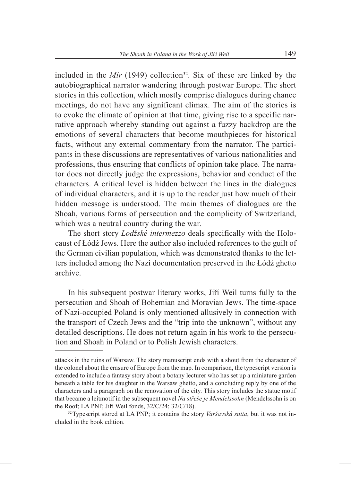included in the  $Mir$  (1949) collection<sup>32</sup>. Six of these are linked by the autobiographical narrator wandering through postwar Europe. The short stories in this collection, which mostly comprise dialogues during chance meetings, do not have any significant climax. The aim of the stories is to evoke the climate of opinion at that time, giving rise to a specific narrative approach whereby standing out against a fuzzy backdrop are the emotions of several characters that become mouthpieces for historical facts, without any external commentary from the narrator. The participants in these discussions are representatives of various nationalities and professions, thus ensuring that conflicts of opinion take place. The narrator does not directly judge the expressions, behavior and conduct of the characters. A critical level is hidden between the lines in the dialogues of individual characters, and it is up to the reader just how much of their hidden message is understood. The main themes of dialogues are the Shoah, various forms of persecution and the complicity of Switzerland, which was a neutral country during the war.

The short story *Lodžské intermezzo* deals specifically with the Holocaust of Łódź Jews. Here the author also included references to the guilt of the German civilian population, which was demonstrated thanks to the letters included among the Nazi documentation preserved in the Łódź ghetto archive.

In his subsequent postwar literary works, Jiří Weil turns fully to the persecution and Shoah of Bohemian and Moravian Jews. The time-space of Nazi-occupied Poland is only mentioned allusively in connection with the transport of Czech Jews and the "trip into the unknown", without any detailed descriptions. He does not return again in his work to the persecution and Shoah in Poland or to Polish Jewish characters.

attacks in the ruins of Warsaw. The story manuscript ends with a shout from the character of the colonel about the erasure of Europe from the map. In comparison, the typescript version is extended to include a fantasy story about a botany lecturer who has set up a miniature garden beneath a table for his daughter in the Warsaw ghetto, and a concluding reply by one of the characters and a paragraph on the renovation of the city. This story includes the statue motif that became a leitmotif in the subsequent novel *Na střeše je Mendelssohn* (Mendelssohn is on the Roof; LA PNP, Jiří Weil fonds, 32/C/24; 32/C/18).

<sup>32</sup>Typescript stored at LA PNP; it contains the story *Varšavská suita*, but it was not included in the book edition.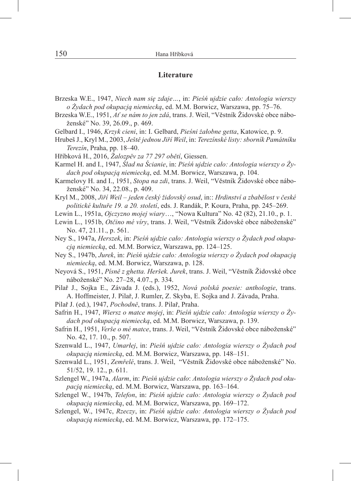## **Literature**

- Brzeska W.E., 1947, *Niech nam się zdaje…*, in: *Pieśń ujdzie cało: Antologia wierszy o Żydach pod okupacją niemiecką*, ed. M.M. Borwicz, Warszawa, pp. 75–76.
- Brzeska W.E., 1951, *Ať se nám to jen zdá*, trans. J. Weil, "Věstník Židovské obce náboženské" No. 39, 26.09., p. 469.
- Gelbard I., 1946, *Krzyk cieni*, in: I. Gelbard, *Pieśni żałobne getta*, Katowice, p. 9.
- Hrubeš J., Kryl M., 2003, *Ještě jednou Jiří Weil*, in: *Terezínské listy: sborník Památníku Terezín*, Praha, pp. 18–40.
- Hříbková H., 2016, *Žalozpěv za 77 297 obětí*, Giessen.

Karmel H. and I., 1947, *Ślad na Ścianie*, in: *Pieśń ujdzie cało: Antologia wierszy o żydach pod okupacją niemiecką*, ed. M.M. Borwicz, Warszawa, p. 104.

Karmelovy H. and I., 1951, *Stopa na zdi*, trans. J. Weil, "Věstník Židovské obce náboženské" No. 34, 22.08., p. 409.

Kryl M., 2008, *Jiří Weil – jeden český židovský osud*, in:: *Hrdinství a zbabělost v české politické kultuře 19. a 20. století*, eds. J. Randák, P. Koura, Praha, pp. 245–269.

- Lewin L., 1951a, *Ojczyzno mojej wiary*…, "Nowa Kultura" No. 42 (82), 21.10., p. 1.
- Lewin L., 1951b, *Otčino mé víry*, trans. J. Weil, "Věstník Židovské obce náboženské" No. 47, 21.11., p. 561.
- Ney S., 1947a, *Herszek*, in: *Pieśń ujdzie cało: Antologia wierszy o żydach pod okupacją niemiecką*, ed. M.M. Borwicz, Warszawa, pp. 124–125.
- Ney S., 1947b, *Jurek*, in: *Pieśń ujdzie cało: Antologia wierszy o żydach pod okupacją niemiecką*, ed. M.M. Borwicz, Warszawa, p. 128.
- Neyová S., 1951, *Písně z ghetta. Heršek. Jurek*, trans. J. Weil, "Věstník Židovské obce náboženské" No. 27–28, 4.07., p. 334.
- Pilař J., Sojka E., Závada J. (eds.), 1952, *Nová polská poesie: anthologie*, trans. A. Hoffmeister, J. Pilař, J. Rumler, Z. Skyba, E. Sojka and J. Závada, Praha.
- Pilař J. (ed.), 1947, *Pochodně*, trans. J. Pilař, Praha.
- Safrin H., 1947, *Wiersz o matce mojej*, in: *Pieśń ujdzie cało: Antologia wierszy o żydach pod okupacją niemiecką*, ed. M.M. Borwicz, Warszawa, p. 139.
- Safrin H., 1951, *Verše o mé matce*, trans. J. Weil, "Věstník Židovské obce náboženské" No. 42, 17. 10., p. 507.
- Szenwald L., 1947, *Umarłej*, in: *Pieśń ujdzie cało: Antologia wierszy o żydach pod okupacją niemiecką*, ed. M.M. Borwicz, Warszawa, pp. 148–151.
- Szenwald L., 1951, *Zemřelé*, trans. J. Weil, "Věstník Židovské obce náboženské" No. 51/52, 19. 12., p. 611.
- Szlengel W., 1947a, *Alarm*, in: *Pieśń ujdzie cało*: *Antologia wierszy o żydach pod okupacją niemiecką*, ed. M.M. Borwicz, Warszawa, pp. 163–164.
- Szlengel W., 1947b, *Telefon*, in: *Pieśń ujdzie cało: Antologia wierszy o żydach pod okupacją niemiecką*, ed. M.M. Borwicz, Warszawa, pp. 169–172.
- Szlengel, W., 1947c, *Rzeczy*, in: *Pieśń ujdzie cało: Antologia wierszy o żydach pod okupacją niemiecką*, ed. M.M. Borwicz, Warszawa, pp. 172–175.